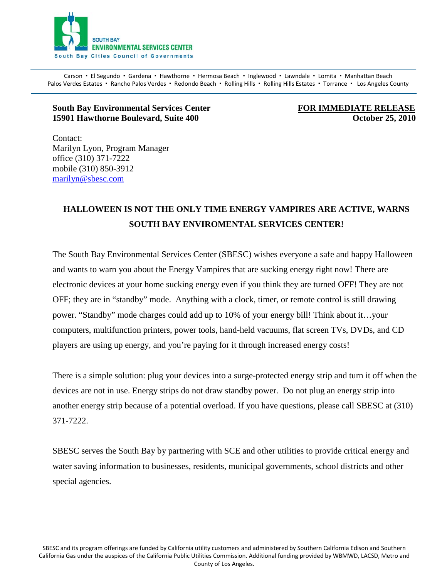

Carson · El Segundo · Gardena · Hawthorne · Hermosa Beach · Inglewood · Lawndale · Lomita · Manhattan Beach Palos Verdes Estates · Rancho Palos Verdes · Redondo Beach · Rolling Hills · Rolling Hills Estates · Torrance · Los Angeles County

## **South Bay Environmental Services Center FOR IMMEDIATE RELEASE 15901 Hawthorne Boulevard, Suite 400 Constrainers and Suite 400 Coronal Constrainers of Coronal Coronal Coronal Coronal Coronal Coronal Coronal Coronal Coronal Coronal Coronal Coronal Coronal Coronal Coronal Coronal Coron**

Contact: Marilyn Lyon, Program Manager office (310) 371-7222 mobile (310) 850-3912 [marilyn@sbesc.com](mailto:marilyn@sbesc.com)

## **HALLOWEEN IS NOT THE ONLY TIME ENERGY VAMPIRES ARE ACTIVE, WARNS SOUTH BAY ENVIROMENTAL SERVICES CENTER!**

The South Bay Environmental Services Center (SBESC) wishes everyone a safe and happy Halloween and wants to warn you about the Energy Vampires that are sucking energy right now! There are electronic devices at your home sucking energy even if you think they are turned OFF! They are not OFF; they are in "standby" mode. Anything with a clock, timer, or remote control is still drawing power. "Standby" mode charges could add up to 10% of your energy bill! Think about it…your computers, multifunction printers, power tools, hand-held vacuums, flat screen TVs, DVDs, and CD players are using up energy, and you're paying for it through increased energy costs!

There is a simple solution: plug your devices into a surge-protected energy strip and turn it off when the devices are not in use. Energy strips do not draw standby power. Do not plug an energy strip into another energy strip because of a potential overload. If you have questions, please call SBESC at (310) 371-7222.

SBESC serves the South Bay by partnering with SCE and other utilities to provide critical energy and water saving information to businesses, residents, municipal governments, school districts and other special agencies.